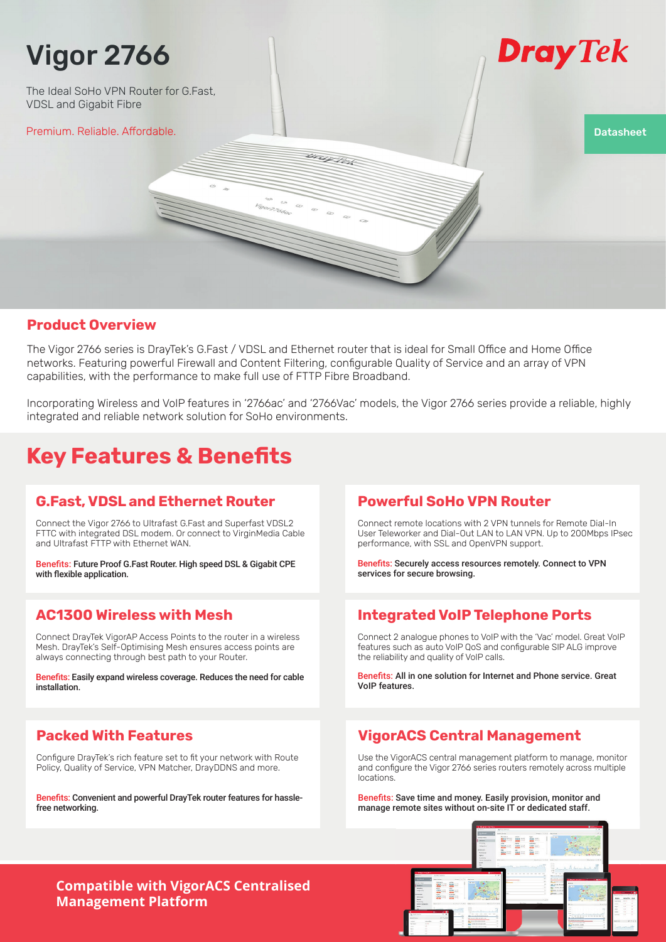# Vigor 2766

The Ideal SoHo VPN Router for G.Fast, VDSL and Gigabit Fibre

Premium. Reliable. Affordable. Datasheet Datasheet Datasheet Datasheet Datasheet Datasheet Datasheet Datasheet

# Dray Tek

### **Product Overview**

The Vigor 2766 series is DrayTek's G.Fast / VDSL and Ethernet router that is ideal for Small Office and Home Office networks. Featuring powerful Firewall and Content Filtering, configurable Quality of Service and an array of VPN capabilities, with the performance to make full use of FTTP Fibre Broadband.

Incorporating Wireless and VoIP features in '2766ac' and '2766Vac' models, the Vigor 2766 series provide a reliable, highly integrated and reliable network solution for SoHo environments.

bray lek

# **Key Features & Benefits**

### **G.Fast, VDSL and Ethernet Router**

Connect the Vigor 2766 to Ultrafast G.Fast and Superfast VDSL2 FTTC with integrated DSL modem. Or connect to VirginMedia Cable and Ultrafast FTTP with Ethernet WAN.

Benefits: Future Proof G.Fast Router. High speed DSL & Gigabit CPE with flexible application.

### **AC1300 Wireless with Mesh**

Connect DrayTek VigorAP Access Points to the router in a wireless Mesh. DrayTek's Self-Optimising Mesh ensures access points are always connecting through best path to your Router.

Benefits: Easily expand wireless coverage. Reduces the need for cable installation.

## **Packed With Features**

Configure DrayTek's rich feature set to fit your network with Route Policy, Quality of Service, VPN Matcher, DrayDDNS and more.

Benefits: Convenient and powerful DrayTek router features for hasslefree networking.

### **Powerful SoHo VPN Router**

Connect remote locations with 2 VPN tunnels for Remote Dial-In User Teleworker and Dial-Out LAN to LAN VPN. Up to 200Mbps IPsec performance, with SSL and OpenVPN support.

Benefits: Securely access resources remotely. Connect to VPN services for secure browsing.

## **Integrated VoIP Telephone Ports**

Connect 2 analogue phones to VoIP with the 'Vac' model. Great VoIP features such as auto VoIP QoS and configurable SIP ALG improve the reliability and quality of VoIP calls.

Benefits: All in one solution for Internet and Phone service. Great VoIP features.

## **VigorACS Central Management**

Use the VigorACS central management platform to manage, monitor and configure the Vigor 2766 series routers remotely across multiple locations.

Benefits: Save time and money. Easily provision, monitor and manage remote sites without on-site IT or dedicated staff.

### **Compatible with VigorACS Centralised Management Platform**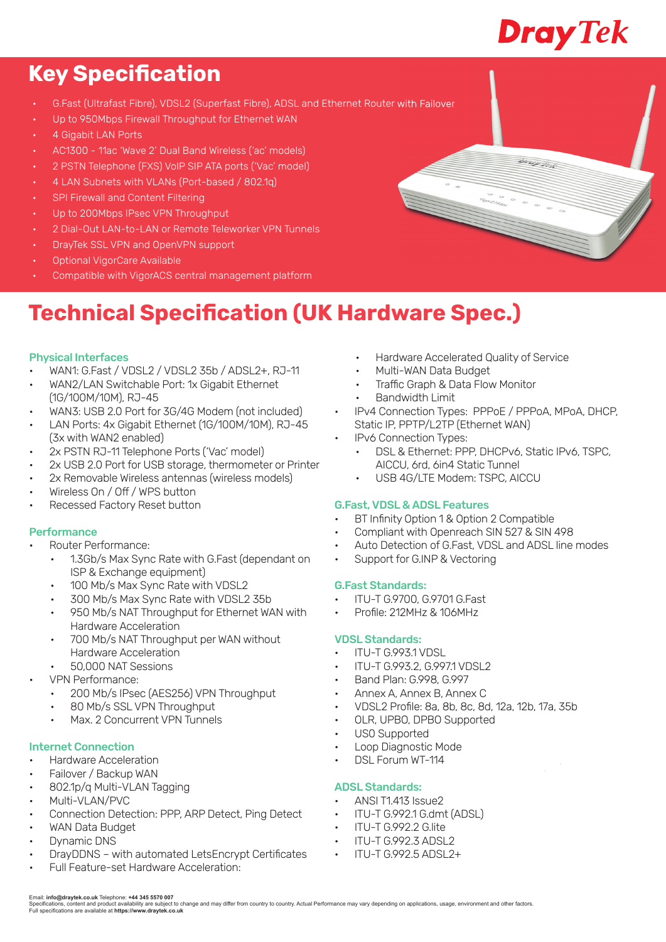# **Dray Tek**

# **Key Specification**

- G.Fast (Ultrafast Fibre), VDSL2 (Superfast Fibre), ADSL and Ethernet Router with Failover
- Up to 950Mbps Firewall Throughput for Ethernet WAN
- 4 Gigabit LAN Ports
- AC1300 11ac 'Wave 2' Dual Band Wireless ('ac' models)
- 2 PSTN Telephone (FXS) VoIP SIP ATA ports ('Vac' model)
- 4 LAN Subnets with VLANs (Port-based / 802.1q)
- SPI Firewall and Content Filtering
- Up to 200Mbps IPsec VPN Throughput
- 2 Dial-Out LAN-to-LAN or Remote Teleworker VPN Tunnels
- DrayTek SSL VPN and OpenVPN support
- Optional VigorCare Available
- Compatible with VigorACS central management platform

# **Technical Specification (UK Hardware Spec.)**

#### Physical Interfaces

- WAN1: G.Fast / VDSL2 / VDSL2 35b / ADSL2+, RJ-11
- WAN2/LAN Switchable Port: 1x Gigabit Ethernet (1G/100M/10M), RJ-45
- WAN3: USB 2.0 Port for 3G/4G Modem (not included)
- LAN Ports: 4x Gigabit Ethernet (1G/100M/10M), RJ-45 (3x with WAN2 enabled)
- 2x PSTN RJ-11 Telephone Ports ('Vac' model)
- 2x USB 2.0 Port for USB storage, thermometer or Printer
- 2x Removable Wireless antennas (wireless models)
- Wireless On / Off / WPS button
- Recessed Factory Reset button

#### Performance

- Router Performance:
	- 1.3Gb/s Max Sync Rate with G.Fast (dependant on ISP & Exchange equipment)
	- 100 Mb/s Max Sync Rate with VDSL2
	- 300 Mb/s Max Sync Rate with VDSL2 35b
	- 950 Mb/s NAT Throughput for Ethernet WAN with Hardware Acceleration
	- 700 Mb/s NAT Throughput per WAN without Hardware Acceleration
- 50,000 NAT Sessions
- VPN Performance:
	- 200 Mb/s IPsec (AES256) VPN Throughput
	- 80 Mb/s SSL VPN Throughput
	- Max. 2 Concurrent VPN Tunnels

#### Internet Connection

- Hardware Acceleration
- Failover / Backup WAN
- 802.1p/q Multi-VLAN Tagging
- Multi-VLAN/PVC
- Connection Detection: PPP, ARP Detect, Ping Detect
- WAN Data Budget
- Dynamic DNS
- DrayDDNS with automated LetsEncrypt Certificates
- Full Feature-set Hardware Acceleration:
- Hardware Accelerated Quality of Service
- Multi-WAN Data Budget
- Traffic Graph & Data Flow Monitor
- Bandwidth Limit
- IPv4 Connection Types: PPPoE / PPPoA, MPoA, DHCP, Static IP, PPTP/L2TP (Ethernet WAN)
- IPv6 Connection Types:
	- DSL & Ethernet: PPP, DHCPv6, Static IPv6, TSPC, AICCU, 6rd, 6in4 Static Tunnel
	- USB 4G/LTE Modem: TSPC, AICCU

#### G.Fast, VDSL & ADSL Features

- BT Infinity Option 1 & Option 2 Compatible
- Compliant with Openreach SIN 527 & SIN 498
- Auto Detection of G.Fast, VDSL and ADSL line modes
- Support for G.INP & Vectoring

#### G.Fast Standards:

- ITU-T G.9700, G.9701 G.Fast
- Profile: 212MHz & 106MHz

#### VDSL Standards:

- ITU-T G.993.1 VDSL
- ITU-T G.993.2, G.997.1 VDSL2
- Band Plan: G.998, G.997
- Annex A, Annex B, Annex C
- VDSL2 Profi le: 8a, 8b, 8c, 8d, 12a, 12b, 17a, 35b
- OLR, UPBO, DPBO Supported
- US0 Supported
- Loop Diagnostic Mode
- DSL Forum WT-114

#### ADSL Standards:

- ANSI T1.413 Issue2
- ITU-T G.992.1 G.dmt (ADSL)
- ITU-T G.992.2 G.lite
- ITU-T G.992.3 ADSL2
- ITU-T G.992.5 ADSL2+

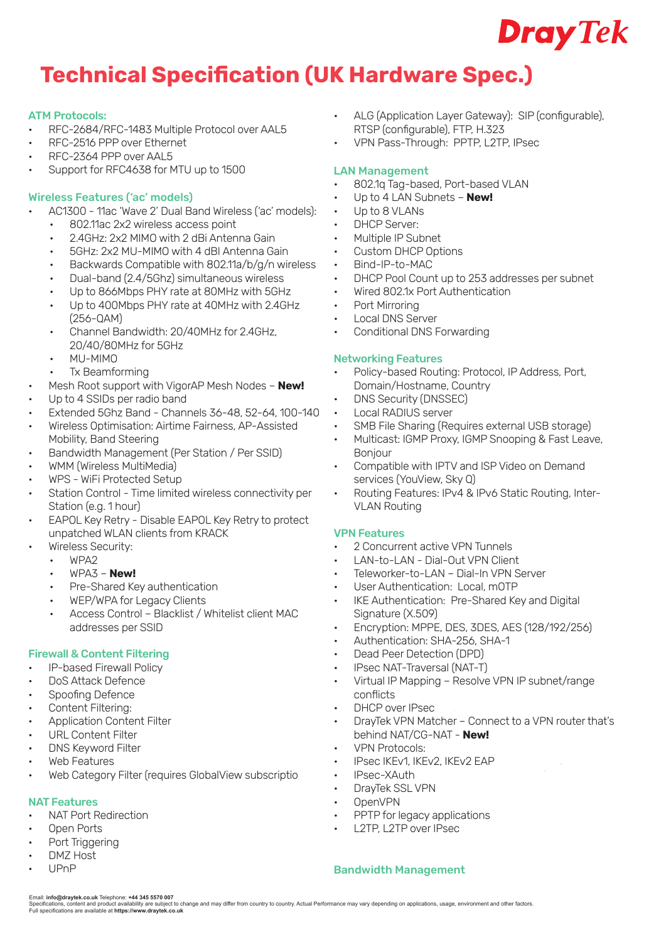

# **Technical Specification (UK Hardware Spec.)**

#### ATM Protocols:

- RFC-2684/RFC-1483 Multiple Protocol over AAL5
- RFC-2516 PPP over Ethernet
- RFC-2364 PPP over AAL5
- Support for RFC4638 for MTU up to 1500

#### Wireless Features ('ac' models)

- AC1300 11ac 'Wave 2' Dual Band Wireless ('ac' models):
	- 802.11ac 2x2 wireless access point
	- 2.4GHz: 2x2 MIMO with 2 dBi Antenna Gain
	- 5GHz: 2x2 MU-MIMO with 4 dBI Antenna Gain
	- Backwards Compatible with 802.11a/b/g/n wireless
	- Dual-band (2.4/5Ghz) simultaneous wireless
	- Up to 866Mbps PHY rate at 80MHz with 5GHz
	- Up to 400Mbps PHY rate at 40MHz with 2.4GHz (256-QAM)
	- Channel Bandwidth: 20/40MHz for 2.4GHz, 20/40/80MHz for 5GHz
	- MU-MIMO
- Tx Beamforming
- Mesh Root support with VigorAP Mesh Nodes **New!**
- Up to 4 SSIDs per radio band
- Extended 5Ghz Band Channels 36-48, 52-64, 100-140
- Wireless Optimisation: Airtime Fairness, AP-Assisted Mobility, Band Steering
- Bandwidth Management (Per Station / Per SSID)
- WMM (Wireless MultiMedia)
- WPS WiFi Protected Setup
- Station Control Time limited wireless connectivity per Station (e.g. 1 hour)
- EAPOL Key Retry Disable EAPOL Key Retry to protect unpatched WLAN clients from KRACK
	- Wireless Security:
		- WPA2
		- WPA3 **New!**
		- Pre-Shared Key authentication
		- WEP/WPA for Legacy Clients
		- Access Control Blacklist / Whitelist client MAC addresses per SSID

#### Firewall & Content Filtering

- IP-based Firewall Policy
- DoS Attack Defence
- Spoofing Defence
- Content Filtering:
- Application Content Filter
- URL Content Filter
- DNS Keyword Filter
- Web Features
- Web Category Filter (requires GlobalView subscriptio

#### NAT Features

- NAT Port Redirection
- Open Ports
- Port Triggering
- DMZ Host
- UPnP
- ALG (Application Layer Gateway): SIP (configurable), RTSP (configurable), FTP, H.323
- VPN Pass-Through: PPTP, L2TP, IPsec

#### LAN Management

- 802.1q Tag-based, Port-based VLAN
- Up to 4 LAN Subnets **New!**
- Up to 8 VLANs
- DHCP Server:
- Multiple IP Subnet
- Custom DHCP Options
- Bind-IP-to-MAC
- DHCP Pool Count up to 253 addresses per subnet
- Wired 802.1x Port Authentication
- Port Mirroring
- Local DNS Server
- Conditional DNS Forwarding

#### Networking Features

- Policy-based Routing: Protocol, IP Address, Port, Domain/Hostname, Country
- DNS Security (DNSSEC)
- Local RADIUS server
- SMB File Sharing (Requires external USB storage)
- Multicast: IGMP Proxy, IGMP Snooping & Fast Leave, **Bonjour**
- Compatible with IPTV and ISP Video on Demand services (YouView, Sky Q)
- Routing Features: IPv4 & IPv6 Static Routing, Inter-VLAN Routing

#### VPN Features

- 2 Concurrent active VPN Tunnels
- LAN-to-LAN Dial-Out VPN Client
- Teleworker-to-LAN Dial-In VPN Server
- User Authentication: Local, mOTP
- IKE Authentication: Pre-Shared Key and Digital Signature (X.509)
- Encryption: MPPE, DES, 3DES, AES (128/192/256)
- Authentication: SHA-256, SHA-1
- Dead Peer Detection (DPD)
- IPsec NAT-Traversal (NAT-T)
- Virtual IP Mapping Resolve VPN IP subnet/range conflicts
- DHCP over IPsec
- DrayTek VPN Matcher Connect to a VPN router that's behind NAT/CG-NAT - **New!**
- VPN Protocols:
- IPsec IKEv1, IKEv2, IKEv2 EAP
- IPsec-XAuth
- DrayTek SSL VPN
- OpenVPN
- PPTP for legacy applications
- L2TP, L2TP over IPsec

#### Bandwidth Management

Email: i**nfo@draytek.co.uk** Telephone: **+44 345 5570 007**<br>Specifications, content and product availability are subject to change and may differ from country to country. Actual Performance may vary depending on application